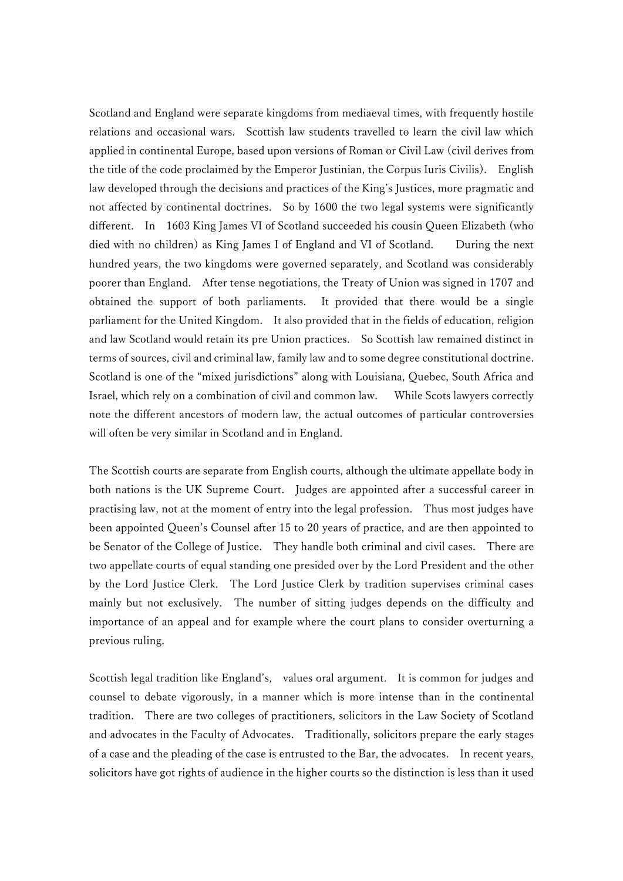Scotland and England were separate kingdoms from mediaeval times, with frequently hostile relations and occasional wars. Scottish law students travelled to learn the civil law which applied in continental Europe, based upon versions of Roman or Civil Law (civil derives from the title of the code proclaimed by the Emperor Justinian, the Corpus Iuris Civilis). English law developed through the decisions and practices of the King's Justices, more pragmatic and not affected by continental doctrines. So by 1600 the two legal systems were significantly different. In 1603 King James VI of Scotland succeeded his cousin Queen Elizabeth (who died with no children) as King James I of England and VI of Scotland. During the next hundred years, the two kingdoms were governed separately, and Scotland was considerably poorer than England. After tense negotiations, the Treaty of Union was signed in 1707 and obtained the support of both parliaments. It provided that there would be a single parliament for the United Kingdom. It also provided that in the fields of education, religion and law Scotland would retain its pre Union practices. So Scottish law remained distinct in terms of sources, civil and criminal law, family law and to some degree constitutional doctrine. Scotland is one of the "mixed jurisdictions" along with Louisiana, Quebec, South Africa and Israel, which rely on a combination of civil and common law. While Scots lawyers correctly note the different ancestors of modern law, the actual outcomes of particular controversies will often be very similar in Scotland and in England.

The Scottish courts are separate from English courts, although the ultimate appellate body in both nations is the UK Supreme Court. Judges are appointed after a successful career in practising law, not at the moment of entry into the legal profession. Thus most judges have been appointed Queen's Counsel after 15 to 20 years of practice, and are then appointed to be Senator of the College of Justice. They handle both criminal and civil cases. There are two appellate courts of equal standing one presided over by the Lord President and the other by the Lord Justice Clerk. The Lord Justice Clerk by tradition supervises criminal cases mainly but not exclusively. The number of sitting judges depends on the difficulty and importance of an appeal and for example where the court plans to consider overturning a previous ruling.

Scottish legal tradition like England's, values oral argument. It is common for judges and counsel to debate vigorously, in a manner which is more intense than in the continental tradition. There are two colleges of practitioners, solicitors in the Law Society of Scotland and advocates in the Faculty of Advocates. Traditionally, solicitors prepare the early stages of a case and the pleading of the case is entrusted to the Bar, the advocates. In recent years, solicitors have got rights of audience in the higher courts so the distinction is less than it used